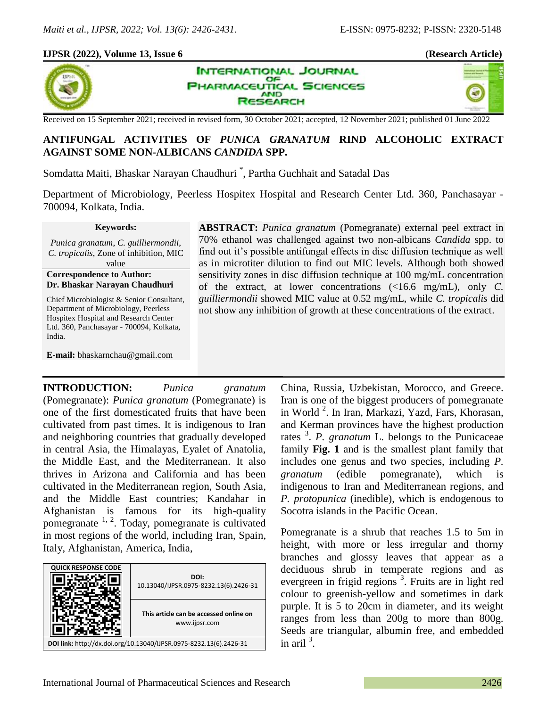## **IJPSR (2022), Volume 13, Issue 6 (Research Article)**



×,





# **ANTIFUNGAL ACTIVITIES OF** *PUNICA GRANATUM* **RIND ALCOHOLIC EXTRACT AGAINST SOME NON-ALBICANS** *CANDIDA* **SPP.**

Somdatta Maiti, Bhaskar Narayan Chaudhuri \* , Partha Guchhait and Satadal Das

Department of Microbiology, Peerless Hospitex Hospital and Research Center Ltd. 360, Panchasayar - 700094, Kolkata, India.

#### **Keywords:**

*Punica granatum*, *C. guilliermondii*, *C. tropicalis*, Zone of inhibition, MIC value

**Correspondence to Author: Dr. Bhaskar Narayan Chaudhuri**

Chief Microbiologist & Senior Consultant, Department of Microbiology, Peerless Hospitex Hospital and Research Center Ltd. 360, Panchasayar - 700094, Kolkata, India.

**E-mail:** bhaskarnchau@gmail.com

**ABSTRACT:** *Punica granatum* (Pomegranate) external peel extract in 70% ethanol was challenged against two non-albicans *Candida* spp. to find out it's possible antifungal effects in disc diffusion technique as well as in microtiter dilution to find out MIC levels. Although both showed sensitivity zones in disc diffusion technique at 100 mg/mL concentration of the extract, at lower concentrations (<16.6 mg/mL), only *C. guilliermondii* showed MIC value at 0.52 mg/mL, while *C. tropicalis* did not show any inhibition of growth at these concentrations of the extract.

**INTRODUCTION:** *Punica granatum* (Pomegranate): *Punica granatum* (Pomegranate) is one of the first domesticated fruits that have been cultivated from past times. It is indigenous to Iran and neighboring countries that gradually developed in central Asia, the Himalayas, Eyalet of Anatolia, the Middle East, and the Mediterranean. It also thrives in Arizona and California and has been cultivated in the Mediterranean region, South Asia, and the Middle East countries; Kandahar in Afghanistan is famous for its high-quality pomegranate 1, 2. Today, pomegranate is cultivated in most regions of the world, including Iran, Spain, Italy, Afghanistan, America, India,



China, Russia, Uzbekistan, Morocco, and Greece. Iran is one of the biggest producers of pomegranate in World <sup>2</sup> . In Iran, Markazi, Yazd, Fars, Khorasan, and Kerman provinces have the highest production rates <sup>3</sup>. *P. granatum* L. belongs to the Punicaceae family **Fig. 1** and is the smallest plant family that includes one genus and two species, including *P. granatum* (edible pomegranate), which is indigenous to Iran and Mediterranean regions, and *P. protopunica* (inedible), which is endogenous to Socotra islands in the Pacific Ocean.

Pomegranate is a shrub that reaches 1.5 to 5m in height, with more or less irregular and thorny branches and glossy leaves that appear as a deciduous shrub in temperate regions and as evergreen in frigid regions<sup>3</sup>. Fruits are in light red colour to greenish-yellow and sometimes in dark purple. It is 5 to 20cm in diameter, and its weight ranges from less than 200g to more than 800g. Seeds are triangular, albumin free, and embedded in aril  $3$ .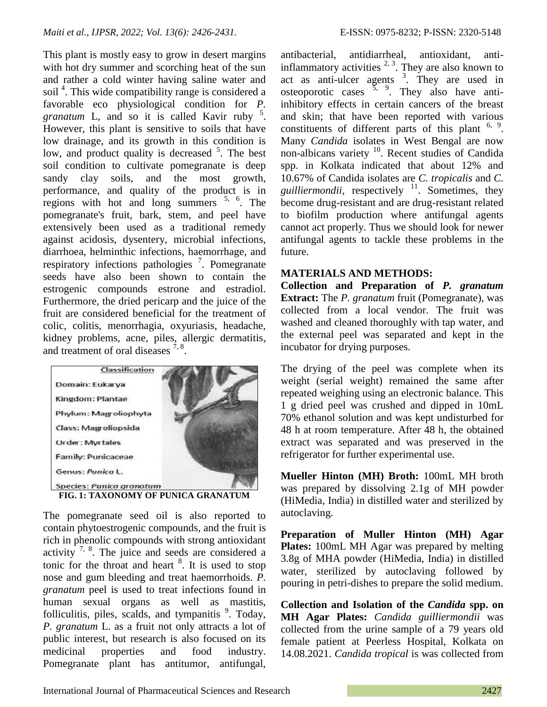This plant is mostly easy to grow in desert margins with hot dry summer and scorching heat of the sun and rather a cold winter having saline water and soil<sup>4</sup>. This wide compatibility range is considered a favorable eco physiological condition for *P.*  granatum L, and so it is called Kavir ruby <sup>5</sup>. However, this plant is sensitive to soils that have low drainage, and its growth in this condition is low, and product quality is decreased  $5$ . The best soil condition to cultivate pomegranate is deep sandy clay soils, and the most growth, performance, and quality of the product is in regions with hot and long summers  $5, 6$ . The pomegranate's fruit, bark, stem, and peel have extensively been used as a traditional remedy against acidosis, dysentery, microbial infections, diarrhoea, helminthic infections, haemorrhage, and respiratory infections pathologies<sup>7</sup>. Pomegranate seeds have also been shown to contain the estrogenic compounds estrone and estradiol. Furthermore, the dried pericarp and the juice of the fruit are considered beneficial for the treatment of colic, colitis, menorrhagia, oxyuriasis, headache, kidney problems, acne, piles, allergic dermatitis, and treatment of oral diseases  $^{7, 8}$ .



**FIG. 1: TAXONOMY OF PUNICA GRANATUM**

The pomegranate seed oil is also reported to contain phytoestrogenic compounds, and the fruit is rich in phenolic compounds with strong antioxidant activity  $7, 8$ . The juice and seeds are considered a tonic for the throat and heart  $8$ . It is used to stop nose and gum bleeding and treat haemorrhoids. *P. granatum* peel is used to treat infections found in human sexual organs as well as mastitis, folliculitis, piles, scalds, and tympanitis <sup>9</sup>. Today, *P. granatum* L. as a fruit not only attracts a lot of public interest, but research is also focused on its medicinal properties and food industry. Pomegranate plant has antitumor, antifungal,

antibacterial, antidiarrheal, antioxidant, antiinflammatory activities  $2, 3$ . They are also known to act as anti-ulcer agents  $3$ . They are used in osteoporotic cases  $\frac{3}{2}$ ,  $\frac{9}{2}$ . They also have antiinhibitory effects in certain cancers of the breast and skin; that have been reported with various constituents of different parts of this plant  $6, 9$ . Many *Candida* isolates in West Bengal are now non-albicans variety <sup>10</sup>. Recent studies of Candida spp. in Kolkata indicated that about 12% and 10.67% of Candida isolates are *C. tropicalis* and *C. guilliermondii,* respectively <sup>11</sup>. Sometimes, they become drug-resistant and are drug-resistant related to biofilm production where antifungal agents cannot act properly. Thus we should look for newer antifungal agents to tackle these problems in the future.

### **MATERIALS AND METHODS:**

**Collection and Preparation of** *P. granatum* **Extract:** The *P. granatum* fruit (Pomegranate), was collected from a local vendor. The fruit was washed and cleaned thoroughly with tap water, and the external peel was separated and kept in the incubator for drying purposes.

The drying of the peel was complete when its weight (serial weight) remained the same after repeated weighing using an electronic balance. This 1 g dried peel was crushed and dipped in 10mL 70% ethanol solution and was kept undisturbed for 48 h at room temperature. After 48 h, the obtained extract was separated and was preserved in the refrigerator for further experimental use.

**Mueller Hinton (MH) Broth:** 100mL MH broth was prepared by dissolving 2.1g of MH powder (HiMedia, India) in distilled water and sterilized by autoclaving.

**Preparation of Muller Hinton (MH) Agar Plates:** 100mL MH Agar was prepared by melting 3.8g of MHA powder (HiMedia, India) in distilled water, sterilized by autoclaving followed by pouring in petri-dishes to prepare the solid medium.

**Collection and Isolation of the** *Candida* **spp. on MH Agar Plates:** *Candida guilliermondii* was collected from the urine sample of a 79 years old female patient at Peerless Hospital, Kolkata on 14.08.2021. *Candida tropical* is was collected from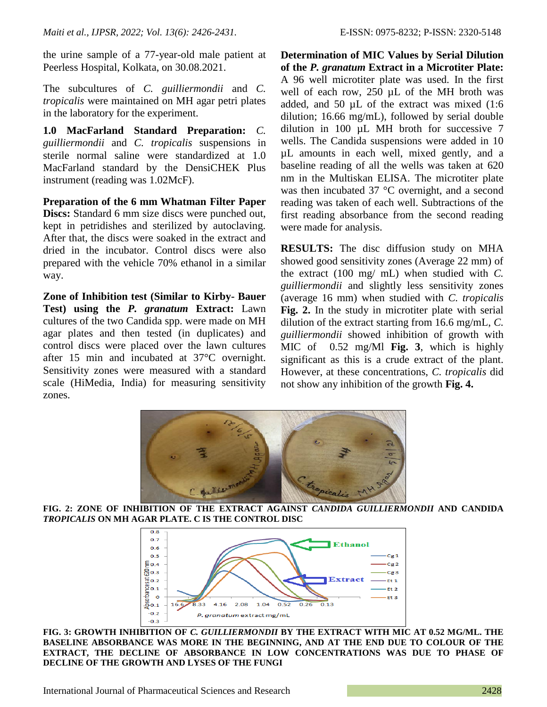the urine sample of a 77-year-old male patient at Peerless Hospital, Kolkata, on 30.08.2021.

The subcultures of *C. guilliermondii* and *C. tropicalis* were maintained on MH agar petri plates in the laboratory for the experiment.

**1.0 MacFarland Standard Preparation:** *C. guilliermondii* and *C. tropicalis* suspensions in sterile normal saline were standardized at 1.0 MacFarland standard by the DensiCHEK Plus instrument (reading was 1.02McF).

**Preparation of the 6 mm Whatman Filter Paper Discs:** Standard 6 mm size discs were punched out, kept in petridishes and sterilized by autoclaving. After that, the discs were soaked in the extract and dried in the incubator. Control discs were also prepared with the vehicle 70% ethanol in a similar way.

**Zone of Inhibition test (Similar to Kirby- Bauer Test) using the** *P. granatum* **Extract:** Lawn cultures of the two Candida spp. were made on MH agar plates and then tested (in duplicates) and control discs were placed over the lawn cultures after 15 min and incubated at 37°C overnight. Sensitivity zones were measured with a standard scale (HiMedia, India) for measuring sensitivity zones.

**Determination of MIC Values by Serial Dilution of the** *P. granatum* **Extract in a Microtiter Plate:** A 96 well microtiter plate was used. In the first well of each row, 250 µL of the MH broth was added, and 50 µL of the extract was mixed (1:6 dilution; 16.66 mg/mL), followed by serial double dilution in 100 µL MH broth for successive 7 wells. The Candida suspensions were added in 10 µL amounts in each well, mixed gently, and a baseline reading of all the wells was taken at 620 nm in the Multiskan ELISA. The microtiter plate was then incubated 37 °C overnight, and a second reading was taken of each well. Subtractions of the first reading absorbance from the second reading were made for analysis.

**RESULTS:** The disc diffusion study on MHA showed good sensitivity zones (Average 22 mm) of the extract (100 mg/ mL) when studied with *C. guilliermondii* and slightly less sensitivity zones (average 16 mm) when studied with *C. tropicalis* **Fig. 2.** In the study in microtiter plate with serial dilution of the extract starting from 16.6 mg/mL, *C. guilliermondii* showed inhibition of growth with MIC of 0.52 mg/Ml **Fig. 3**, which is highly significant as this is a crude extract of the plant. However, at these concentrations, *C. tropicalis* did not show any inhibition of the growth **Fig. 4.**



**FIG. 2: ZONE OF INHIBITION OF THE EXTRACT AGAINST** *CANDIDA GUILLIERMONDII* **AND CANDIDA**  *TROPICALIS* **ON MH AGAR PLATE. C IS THE CONTROL DISC**



**FIG. 3: GROWTH INHIBITION OF** *C. GUILLIERMONDII* **BY THE EXTRACT WITH MIC AT 0.52 MG/ML. THE BASELINE ABSORBANCE WAS MORE IN THE BEGINNING, AND AT THE END DUE TO COLOUR OF THE EXTRACT, THE DECLINE OF ABSORBANCE IN LOW CONCENTRATIONS WAS DUE TO PHASE OF DECLINE OF THE GROWTH AND LYSES OF THE FUNGI**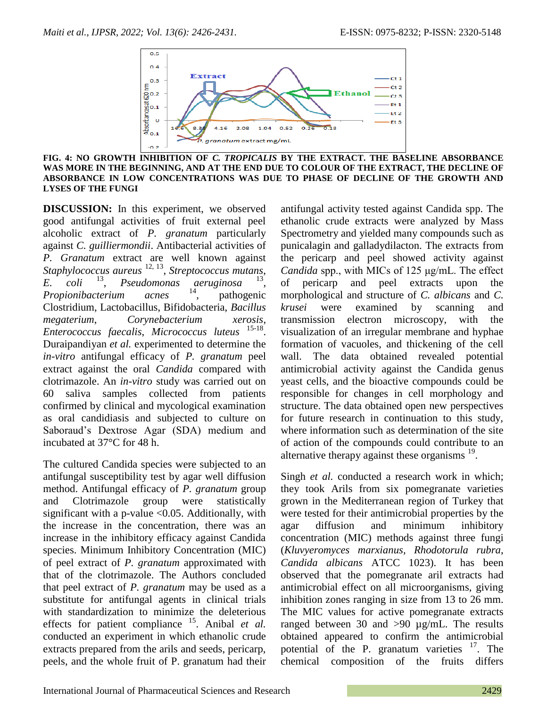

**FIG. 4: NO GROWTH INHIBITION OF** *C. TROPICALIS* **BY THE EXTRACT. THE BASELINE ABSORBANCE WAS MORE IN THE BEGINNING, AND AT THE END DUE TO COLOUR OF THE EXTRACT, THE DECLINE OF ABSORBANCE IN LOW CONCENTRATIONS WAS DUE TO PHASE OF DECLINE OF THE GROWTH AND LYSES OF THE FUNGI**

**DISCUSSION:** In this experiment, we observed good antifungal activities of fruit external peel alcoholic extract of *P. granatum* particularly against *C. guilliermondii*. Antibacterial activities of *P. Granatum* extract are well known against *Staphylococcus aureus* 12, 13 , *Streptococcus mutans*, *E. coli* Pseudomonas aeruginosa , *Propionibacterium acnes* <sup>14</sup>, pathogenic Clostridium, Lactobacillus, Bifidobacteria, *Bacillus megaterium*, *Corynebacterium xerosis*, *Enterococcus faecalis*, *Micrococcus luteus* 15-18 . Duraipandiyan *et al.* experimented to determine the *in-vitro* antifungal efficacy of *P. granatum* peel extract against the oral *Candida* compared with clotrimazole. An *in-vitro* study was carried out on 60 saliva samples collected from patients confirmed by clinical and mycological examination as oral candidiasis and subjected to culture on Saboraud's Dextrose Agar (SDA) medium and incubated at 37°C for 48 h.

The cultured Candida species were subjected to an antifungal susceptibility test by agar well diffusion method. Antifungal efficacy of *P. granatum* group and Clotrimazole group were statistically significant with a p-value  $\langle 0.05$ . Additionally, with the increase in the concentration, there was an increase in the inhibitory efficacy against Candida species. Minimum Inhibitory Concentration (MIC) of peel extract of *P. granatum* approximated with that of the clotrimazole. The Authors concluded that peel extract of *P. granatum* may be used as a substitute for antifungal agents in clinical trials with standardization to minimize the deleterious effects for patient compliance <sup>15</sup>. Anibal *et al.* conducted an experiment in which ethanolic crude extracts prepared from the arils and seeds, pericarp, peels, and the whole fruit of P. granatum had their

antifungal activity tested against Candida spp. The ethanolic crude extracts were analyzed by Mass Spectrometry and yielded many compounds such as punicalagin and galladydilacton. The extracts from the pericarp and peel showed activity against *Candida* spp., with MICs of 125 μg/mL. The effect of pericarp and peel extracts upon the morphological and structure of *C. albicans* and *C. krusei* were examined by scanning and transmission electron microscopy, with the visualization of an irregular membrane and hyphae formation of vacuoles, and thickening of the cell wall. The data obtained revealed potential antimicrobial activity against the Candida genus yeast cells, and the bioactive compounds could be responsible for changes in cell morphology and structure. The data obtained open new perspectives for future research in continuation to this study, where information such as determination of the site of action of the compounds could contribute to an alternative therapy against these organisms  $^{19}$ .

Singh *et al.* conducted a research work in which; they took Arils from six pomegranate varieties grown in the Mediterranean region of Turkey that were tested for their antimicrobial properties by the agar diffusion and minimum inhibitory concentration (MIC) methods against three fungi (*Kluvyeromyces marxianus, Rhodotorula rubra*, *Candida albicans* ATCC 1023). It has been observed that the pomegranate aril extracts had antimicrobial effect on all microorganisms, giving inhibition zones ranging in size from 13 to 26 mm. The MIC values for active pomegranate extracts ranged between 30 and >90 µg/mL. The results obtained appeared to confirm the antimicrobial potential of the P. granatum varieties  $17$ . The chemical composition of the fruits differs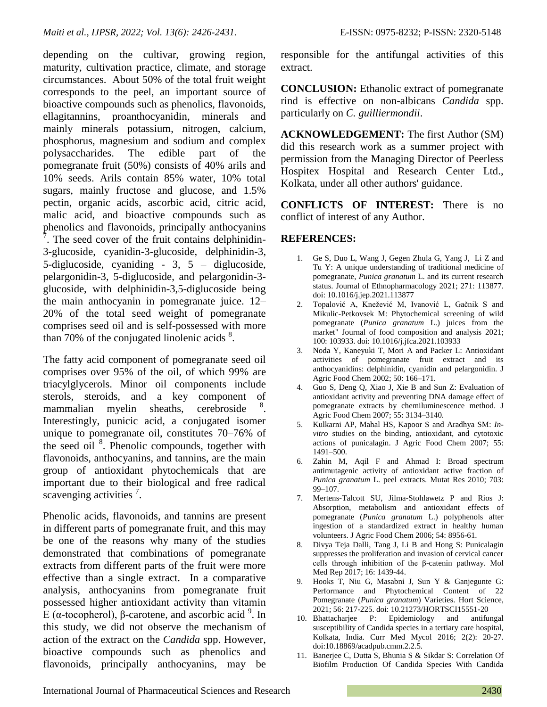depending on the cultivar, growing region, maturity, cultivation practice, climate, and storage circumstances. About 50% of the total fruit weight corresponds to the peel, an important source of bioactive compounds such as phenolics, flavonoids, ellagitannins, proanthocyanidin, minerals and mainly minerals potassium, nitrogen, calcium, phosphorus, magnesium and sodium and complex polysaccharides. The edible part of the pomegranate fruit (50%) consists of 40% arils and 10% seeds. Arils contain 85% water, 10% total sugars, mainly fructose and glucose, and 1.5% pectin, organic acids, ascorbic acid, citric acid, malic acid, and bioactive compounds such as phenolics and flavonoids, principally anthocyanins  $\sqrt{7}$ . The seed cover of the fruit contains delphinidin-3-glucoside, cyanidin-3-glucoside, delphinidin-3, 5-diglucoside, cyaniding - 3, 5 – diglucoside, pelargonidin-3, 5-diglucoside, and pelargonidin-3 glucoside, with delphinidin-3,5-diglucoside being the main anthocyanin in pomegranate juice. 12– 20% of the total seed weight of pomegranate comprises seed oil and is self-possessed with more than  $70\%$  of the conjugated linolenic acids  $8$ .

The fatty acid component of pomegranate seed oil comprises over 95% of the oil, of which 99% are triacylglycerols. Minor oil components include sterols, steroids, and a key component of mammalian myelin sheaths, cerebroside . Interestingly, punicic acid, a conjugated isomer unique to pomegranate oil, constitutes 70–76% of the seed oil<sup>8</sup>. Phenolic compounds, together with flavonoids, anthocyanins, and tannins, are the main group of antioxidant phytochemicals that are important due to their biological and free radical scavenging activities<sup>7</sup>.

Phenolic acids, flavonoids, and tannins are present in different parts of pomegranate fruit, and this may be one of the reasons why many of the studies demonstrated that combinations of pomegranate extracts from different parts of the fruit were more effective than a single extract. In a comparative analysis, anthocyanins from pomegranate fruit possessed higher antioxidant activity than vitamin E ( $\alpha$ -tocopherol), β-carotene, and ascorbic acid  $\frac{9}{2}$ . In this study, we did not observe the mechanism of action of the extract on the *Candida* spp. However, bioactive compounds such as phenolics and flavonoids, principally anthocyanins, may be

responsible for the antifungal activities of this extract.

**CONCLUSION:** Ethanolic extract of pomegranate rind is effective on non-albicans *Candida* spp. particularly on *C. guilliermondii*.

**ACKNOWLEDGEMENT:** The first Author (SM) did this research work as a summer project with permission from the Managing Director of Peerless Hospitex Hospital and Research Center Ltd., Kolkata, under all other authors' guidance.

**CONFLICTS OF INTEREST:** There is no conflict of interest of any Author.

## **REFERENCES:**

- 1. Ge S, Duo L, Wang J, Gegen Zhula G, Yang J, Li Z and Tu Y: A unique understanding of traditional medicine of pomegranate, *Punica granatum* L. and its current research status. Journal of Ethnopharmacology 2021; 271: 113877. doi: 10.1016/j.jep.2021.113877
- 2. Topalović A, Knežević M, Ivanović L, Gačnik S and Mikulic-Petkovsek M: Phytochemical screening of wild pomegranate (*Punica granatum* L.) juices from the market" Journal of food composition and analysis 2021; 100: 103933. doi: 10.1016/j.jfca.2021.103933
- 3. Noda Y, Kaneyuki T, Mori A and Packer L: Antioxidant activities of pomegranate fruit extract and its anthocyanidins: delphinidin, cyanidin and pelargonidin. J Agric Food Chem 2002; 50: 166–171.
- 4. Guo S, Deng Q, Xiao J, Xie B and Sun Z: Evaluation of antioxidant activity and preventing DNA damage effect of pomegranate extracts by chemiluminescence method. J Agric Food Chem 2007; 55: 3134–3140.
- 5. Kulkarni AP, Mahal HS, Kapoor S and Aradhya SM: *Invitro* studies on the binding, antioxidant, and cytotoxic actions of punicalagin. J Agric Food Chem 2007; 55: 1491–500.
- 6. Zahin M, Aqil F and Ahmad I: Broad spectrum antimutagenic activity of antioxidant active fraction of *Punica granatum* L. peel extracts. Mutat Res 2010; 703: 99–107.
- 7. Mertens-Talcott SU, Jilma-Stohlawetz P and Rios J: Absorption, metabolism and antioxidant effects of pomegranate (*Punica granatum* L.) polyphenols after ingestion of a standardized extract in healthy human volunteers. J Agric Food Chem 2006; 54: 8956-61.
- 8. Divya Teja Dalli, Tang J, Li B and Hong S: Punicalagin suppresses the proliferation and invasion of cervical cancer cells through inhibition of the β-catenin pathway. Mol Med Rep 2017; 16: 1439-44.
- 9. Hooks T, Niu G, Masabni J, Sun Y & Ganjegunte G: Performance and Phytochemical Content of 22 Pomegranate (*Punica granatum*) Varieties. Hort Science, 2021; 56: 217-225. doi: 10.21273/HORTSCI15551-20
- 10. Bhattacharjee P: Epidemiology and antifungal susceptibility of Candida species in a tertiary care hospital, Kolkata, India. Curr Med Mycol 2016; 2(2): 20-27. doi:10.18869/acadpub.cmm.2.2.5.
- 11. Banerjee C, Dutta S, Bhunia S & Sikdar S: Correlation Of Biofilm Production Of Candida Species With Candida